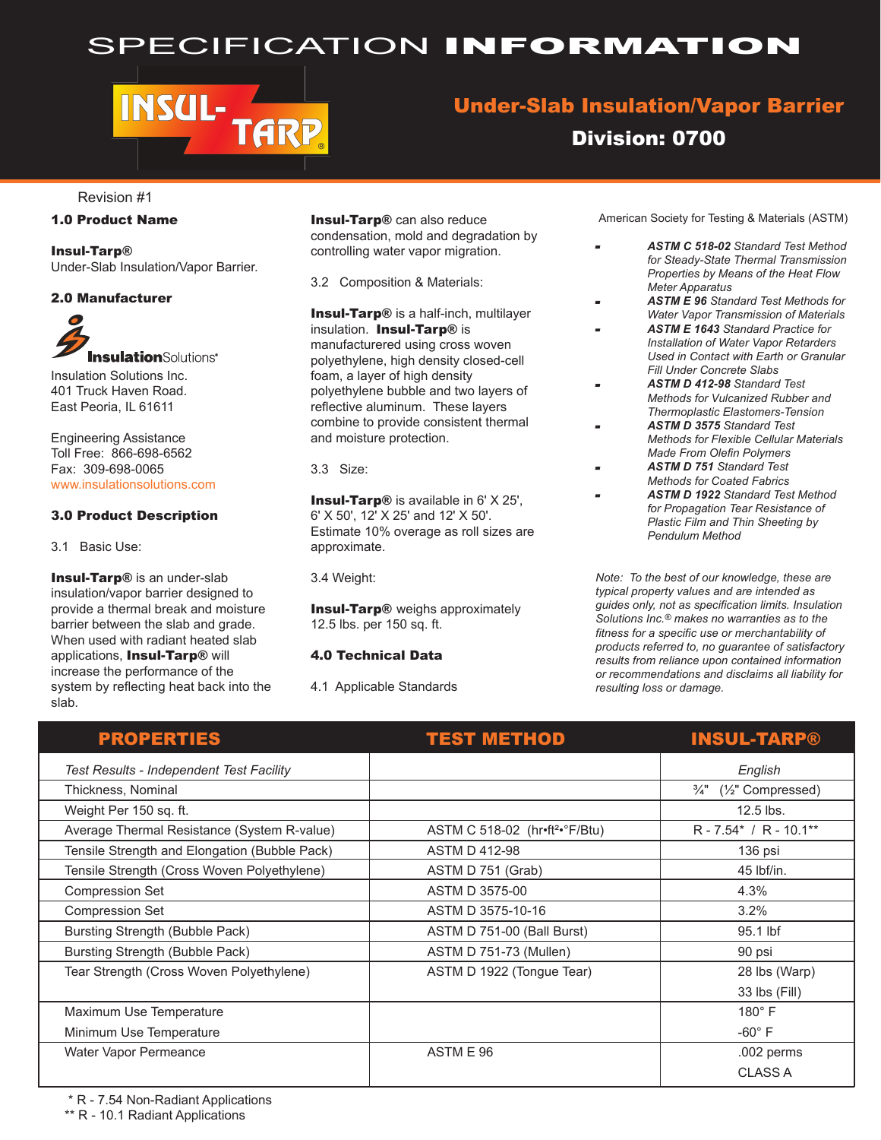## SPECIFICATION INFORMATION

# **INSUL-ARP**

### Under-Slab Insulation/Vapor Barrier

Division: 0700

Revision #1

#### 1.0 Product Name

Insul-Tarp® Under-Slab Insulation/Vapor Barrier.

#### 2.0 Manufacturer

**Insulation**Solutions\* Insulation Solutions Inc. 401 Truck Haven Road. East Peoria, IL 61611

Engineering Assistance Toll Free: 866-698-6562 Fax: 309-698-0065 www.insulationsolutions.com

#### 3.0 Product Description

3.1 Basic Use:

Insul-Tarp® is an under-slab insulation/vapor barrier designed to provide a thermal break and moisture barrier between the slab and grade. When used with radiant heated slab applications, Insul-Tarp® will increase the performance of the system by reflecting heat back into the slab.

Insul-Tarp® can also reduce condensation, mold and degradation by controlling water vapor migration.

3.2 Composition & Materials:

Insul-Tarp® is a half-inch, multilayer insulation. Insul-Tarp® is manufacturered using cross woven polyethylene, high density closed-cell foam, a layer of high density polyethylene bubble and two layers of reflective aluminum. These layers combine to provide consistent thermal and moisture protection.

3.3 Size:

**Insul-Tarp®** is available in 6' X 25', 6' X 50', 12' X 25' and 12' X 50'. Estimate 10% overage as roll sizes are approximate.

3.4 Weight:

**Insul-Tarp®** weighs approximately 12.5 lbs. per 150 sq. ft.

#### 4.0 Technical Data

4.1 Applicable Standards

American Society for Testing & Materials (ASTM)

- *ASTM C 518-02 Standard Test Method for Steady-State Thermal Transmission Properties by Means of the Heat Flow Meter Apparatus*
- *ASTM E 96 Standard Test Methods for Water Vapor Transmission of Materials*
- *ASTM E 1643 Standard Practice for Installation of Water Vapor Retarders Used in Contact with Earth or Granular Fill Under Concrete Slabs*
- *ASTM D 412-98 Standard Test Methods for Vulcanized Rubber and Thermoplastic Elastomers-Tension*
- *ASTM D 3575 Standard Test Methods for Flexible Cellular Materials Made From Olefin Polymers*
- *ASTM D 751 Standard Test Methods for Coated Fabrics*
- *ASTM D 1922 Standard Test Method for Propagation Tear Resistance of Plastic Film and Thin Sheeting by Pendulum Method*

*Note: To the best of our knowledge, these are typical property values and are intended as guides only, not as specification limits. Insulation Solutions Inc.® makes no warranties as to the fitness for a specific use or merchantability of products referred to, no guarantee of satisfactory results from reliance upon contained information or recommendations and disclaims all liability for resulting loss or damage.*

| <b>PROPERTIES</b>                             | <b>TEST METHOD</b>                         | <b>INSUL-TARP®</b>                               |
|-----------------------------------------------|--------------------------------------------|--------------------------------------------------|
| Test Results - Independent Test Facility      |                                            | English                                          |
| Thickness, Nominal                            |                                            | $(\frac{1}{2})^n$ Compressed)<br>$\frac{3}{4}$ " |
| Weight Per 150 sq. ft.                        |                                            | 12.5 lbs.                                        |
| Average Thermal Resistance (System R-value)   | ASTM C 518-02 (hr•ft <sup>2•</sup> °F/Btu) | $R - 7.54^* / R - 10.1^{**}$                     |
| Tensile Strength and Elongation (Bubble Pack) | <b>ASTM D 412-98</b>                       | 136 psi                                          |
| Tensile Strength (Cross Woven Polyethylene)   | ASTM D 751 (Grab)                          | 45 lbf/in.                                       |
| <b>Compression Set</b>                        | ASTM D 3575-00                             | 4.3%                                             |
| <b>Compression Set</b>                        | ASTM D 3575-10-16                          | 3.2%                                             |
| Bursting Strength (Bubble Pack)               | ASTM D 751-00 (Ball Burst)                 | 95.1 lbf                                         |
| Bursting Strength (Bubble Pack)               | ASTM D 751-73 (Mullen)                     | 90 psi                                           |
| Tear Strength (Cross Woven Polyethylene)      | ASTM D 1922 (Tongue Tear)                  | 28 lbs (Warp)                                    |
|                                               |                                            | 33 lbs (Fill)                                    |
| Maximum Use Temperature                       |                                            | $180^\circ$ F                                    |
| Minimum Use Temperature                       |                                            | $-60^\circ$ F                                    |
| Water Vapor Permeance                         | ASTM E 96                                  | .002 perms                                       |
|                                               |                                            | <b>CLASS A</b>                                   |

\* R - 7.54 Non-Radiant Applications

\*\* R - 10.1 Radiant Applications